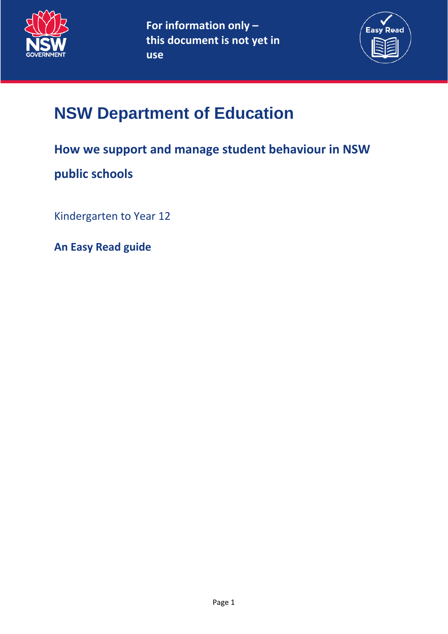



# **NSW Department of Education**

# **How we support and manage student behaviour in NSW**

# **public schools**

Kindergarten to Year 12

**An Easy Read guide**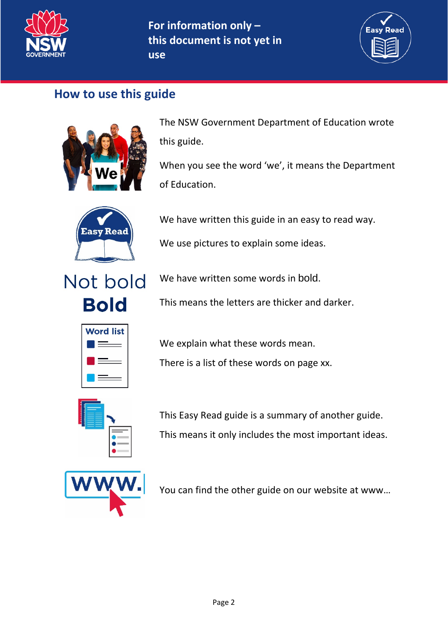

# **For information only – this document is not yet in**

**use**



## **How to use this guide**



The NSW Government Department of Education wrote this guide.

When you see the word 'we', it means the Department of Education.



We have written this guide in an easy to read way.

We use pictures to explain some ideas.



We have written some words in bold.

This means the letters are thicker and darker.



We explain what these words mean.

There is a list of these words on page xx.



This Easy Read guide is a summary of another guide. This means it only includes the most important ideas.



You can find the other guide on our website at www…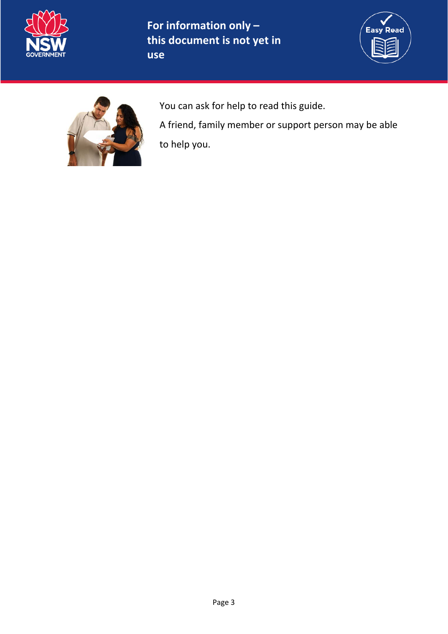

# **For information only – this document is not yet in**

**use**





You can ask for help to read this guide.

A friend, family member or support person may be able to help you.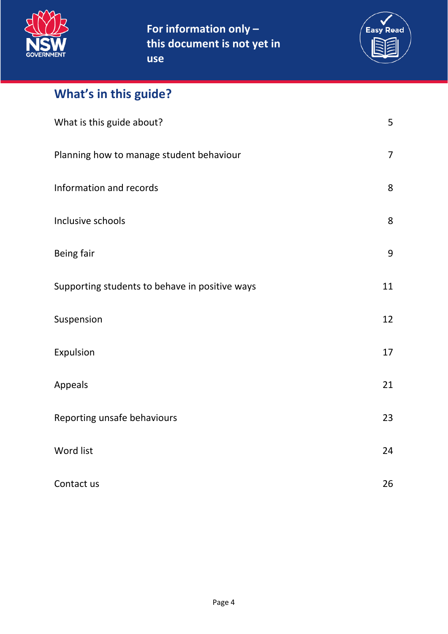

**For information only – this document is not yet in use**



# **What's in this guide?**

| What is this guide about?                      | 5              |
|------------------------------------------------|----------------|
| Planning how to manage student behaviour       | $\overline{7}$ |
| Information and records                        | 8              |
| Inclusive schools                              | 8              |
| Being fair                                     | 9              |
| Supporting students to behave in positive ways | 11             |
| Suspension                                     | 12             |
| Expulsion                                      | 17             |
| Appeals                                        | 21             |
| Reporting unsafe behaviours                    | 23             |
| Word list                                      | 24             |
| Contact us                                     | 26             |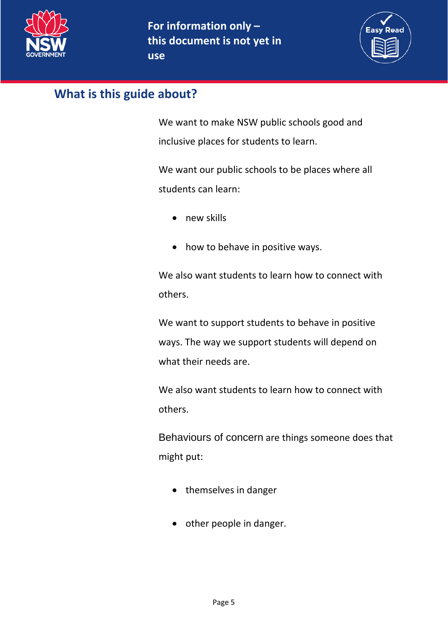



## <span id="page-4-0"></span>**What is this guide about?**

We want to make NSW public schools good and inclusive places for students to learn.

We want our public schools to be places where all students can learn:

- new skills
- how to behave in positive ways.

We also want students to learn how to connect with others.

We want to support students to behave in positive ways. The way we support students will depend on what their needs are.

We also want students to learn how to connect with others.

Behaviours of concern are things someone does that might put:

- themselves in danger
- other people in danger.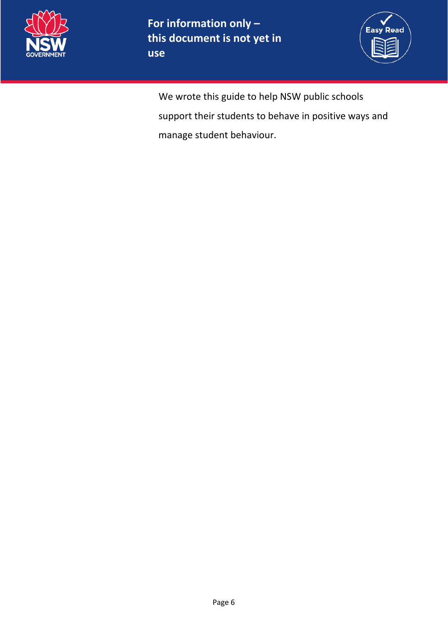



We wrote this guide to help NSW public schools support their students to behave in positive ways and manage student behaviour.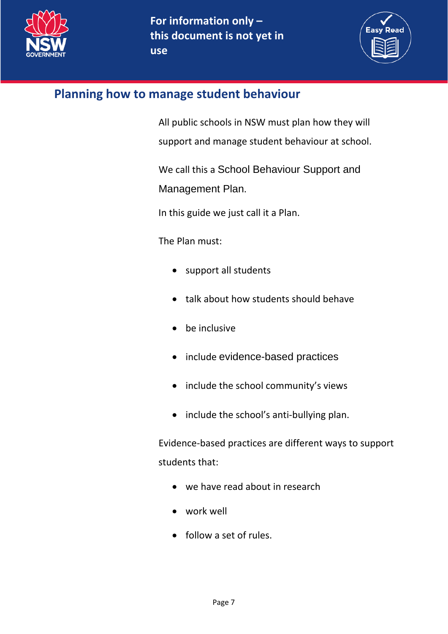



## <span id="page-6-0"></span>**Planning how to manage student behaviour**

All public schools in NSW must plan how they will support and manage student behaviour at school.

We call this a School Behaviour Support and Management Plan.

In this guide we just call it a Plan.

The Plan must:

- support all students
- talk about how students should behave
- be inclusive
- include evidence-based practices
- include the school community's views
- include the school's anti-bullying plan.

Evidence-based practices are different ways to support students that:

- we have read about in research
- work well
- follow a set of rules.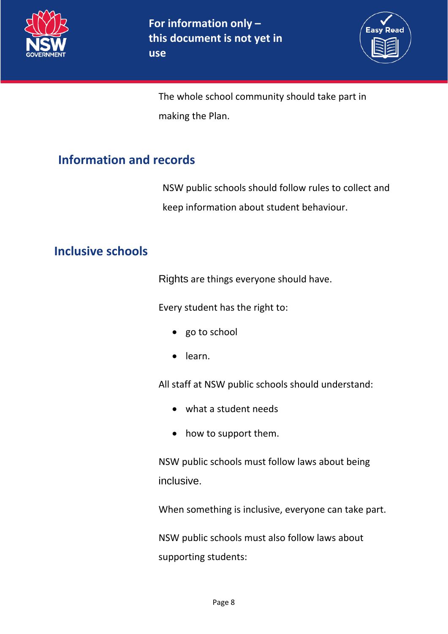



The whole school community should take part in making the Plan.

# <span id="page-7-0"></span>**Information and records**

NSW public schools should follow rules to collect and keep information about student behaviour.

# <span id="page-7-1"></span>**Inclusive schools**

Rights are things everyone should have.

Every student has the right to:

- go to school
- learn.

All staff at NSW public schools should understand:

- what a student needs
- how to support them.

NSW public schools must follow laws about being inclusive.

When something is inclusive, everyone can take part.

NSW public schools must also follow laws about supporting students: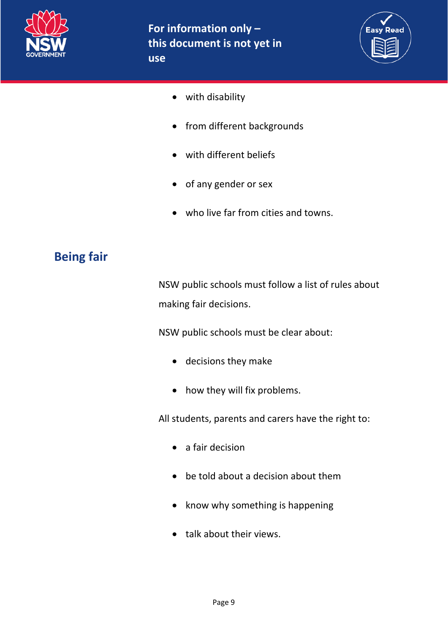



- with disability
- from different backgrounds
- with different beliefs
- of any gender or sex
- who live far from cities and towns.

## <span id="page-8-0"></span>**Being fair**

NSW public schools must follow a list of rules about making fair decisions.

NSW public schools must be clear about:

- decisions they make
- how they will fix problems.

All students, parents and carers have the right to:

- a fair decision
- be told about a decision about them
- know why something is happening
- talk about their views.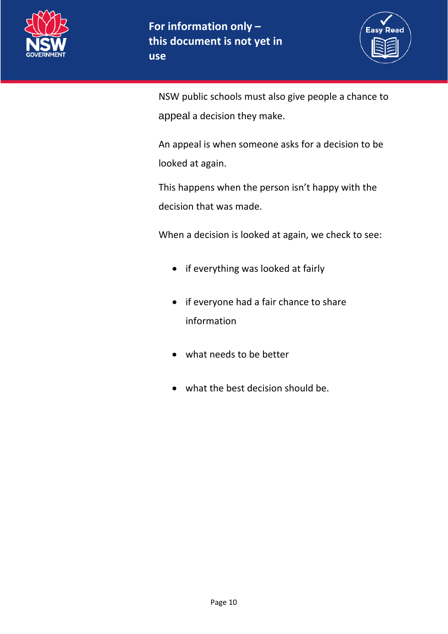



NSW public schools must also give people a chance to appeal a decision they make.

An appeal is when someone asks for a decision to be looked at again.

This happens when the person isn't happy with the decision that was made.

When a decision is looked at again, we check to see:

- if everything was looked at fairly
- if everyone had a fair chance to share information
- what needs to be better
- what the best decision should be.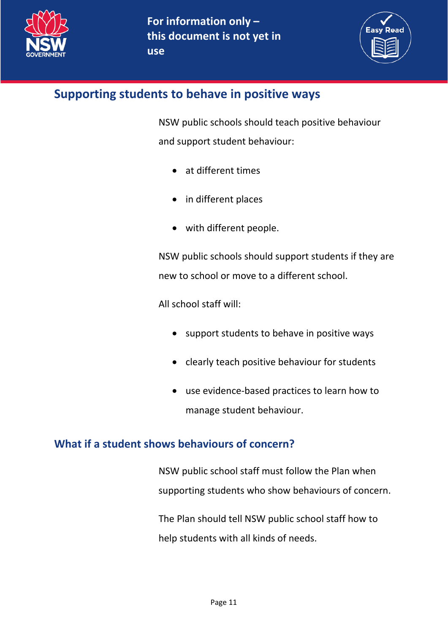



## <span id="page-10-0"></span>**Supporting students to behave in positive ways**

NSW public schools should teach positive behaviour and support student behaviour:

- at different times
- in different places
- with different people.

NSW public schools should support students if they are new to school or move to a different school.

All school staff will:

- support students to behave in positive ways
- clearly teach positive behaviour for students
- use evidence-based practices to learn how to manage student behaviour.

## **What if a student shows behaviours of concern?**

NSW public school staff must follow the Plan when supporting students who show behaviours of concern.

The Plan should tell NSW public school staff how to help students with all kinds of needs.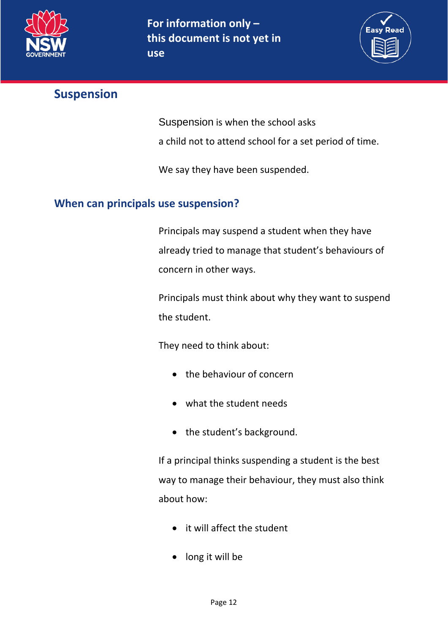

**use**



## <span id="page-11-0"></span>**Suspension**

Suspension is when the school asks

a child not to attend school for a set period of time.

We say they have been suspended.

## **When can principals use suspension?**

Principals may suspend a student when they have already tried to manage that student's behaviours of concern in other ways.

Principals must think about why they want to suspend the student.

They need to think about:

- the behaviour of concern
- what the student needs
- the student's background.

If a principal thinks suspending a student is the best way to manage their behaviour, they must also think about how:

- it will affect the student
- long it will be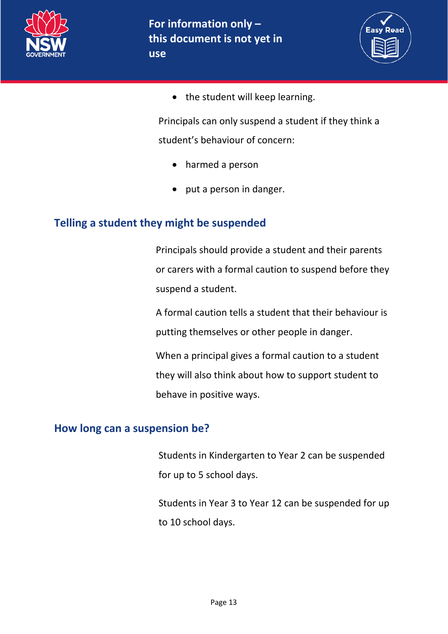



• the student will keep learning.

Principals can only suspend a student if they think a student's behaviour of concern:

- harmed a person
- put a person in danger.

#### **Telling a student they might be suspended**

Principals should provide a student and their parents or carers with a formal caution to suspend before they suspend a student.

A formal caution tells a student that their behaviour is putting themselves or other people in danger.

When a principal gives a formal caution to a student they will also think about how to support student to behave in positive ways.

#### **How long can a suspension be?**

Students in Kindergarten to Year 2 can be suspended for up to 5 school days.

Students in Year 3 to Year 12 can be suspended for up to 10 school days.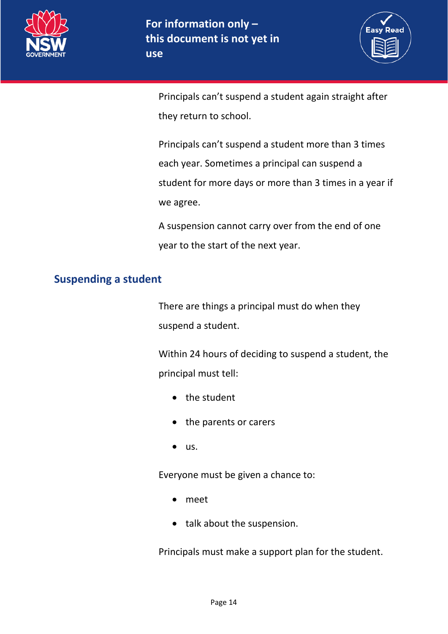



Principals can't suspend a student again straight after they return to school.

Principals can't suspend a student more than 3 times each year. Sometimes a principal can suspend a student for more days or more than 3 times in a year if we agree.

A suspension cannot carry over from the end of one year to the start of the next year.

#### **Suspending a student**

There are things a principal must do when they suspend a student.

Within 24 hours of deciding to suspend a student, the principal must tell:

- the student
- the parents or carers
- us.

Everyone must be given a chance to:

- meet
- talk about the suspension.

Principals must make a support plan for the student.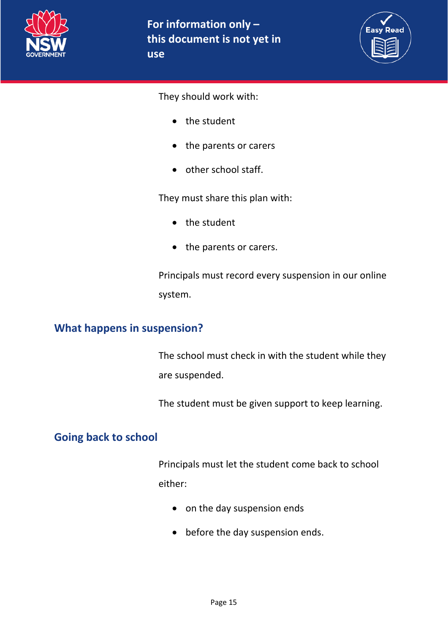



They should work with:

- the student
- the parents or carers
- other school staff.

They must share this plan with:

- the student
- the parents or carers.

Principals must record every suspension in our online system.

#### **What happens in suspension?**

The school must check in with the student while they are suspended.

The student must be given support to keep learning.

#### **Going back to school**

Principals must let the student come back to school either:

- on the day suspension ends
- before the day suspension ends.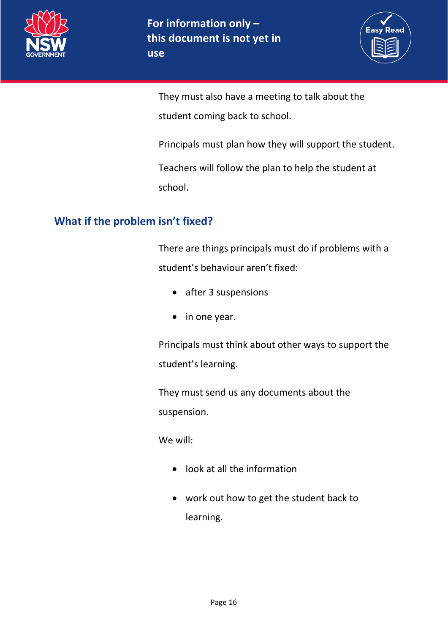



They must also have a meeting to talk about the student coming back to school.

Principals must plan how they will support the student.

Teachers will follow the plan to help the student at school.

## **What if the problem isn't fixed?**

There are things principals must do if problems with a student's behaviour aren't fixed:

- after 3 suspensions
- in one year.

Principals must think about other ways to support the student's learning.

They must send us any documents about the suspension.

We will:

- look at all the information
- work out how to get the student back to learning.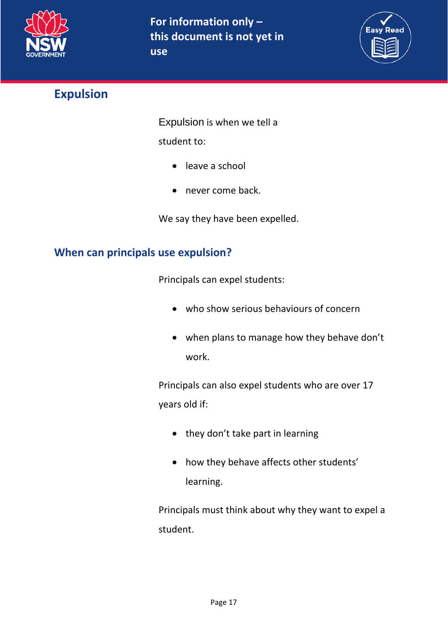



# <span id="page-16-0"></span>**Expulsion**

Expulsion is when we tell a

student to:

- leave a school
- never come back.

We say they have been expelled.

## **When can principals use expulsion?**

Principals can expel students:

- who show serious behaviours of concern
- when plans to manage how they behave don't work.

Principals can also expel students who are over 17 years old if:

- they don't take part in learning
- how they behave affects other students' learning.

Principals must think about why they want to expel a student.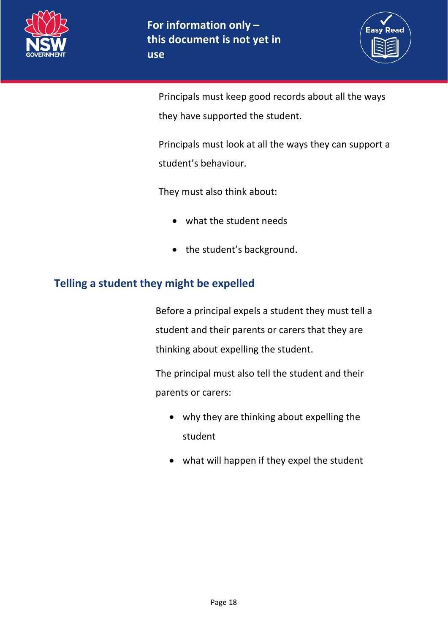



Principals must keep good records about all the ways they have supported the student.

Principals must look at all the ways they can support a student's behaviour.

They must also think about:

- what the student needs
- the student's background.

#### **Telling a student they might be expelled**

Before a principal expels a student they must tell a student and their parents or carers that they are thinking about expelling the student.

The principal must also tell the student and their parents or carers:

- why they are thinking about expelling the student
- what will happen if they expel the student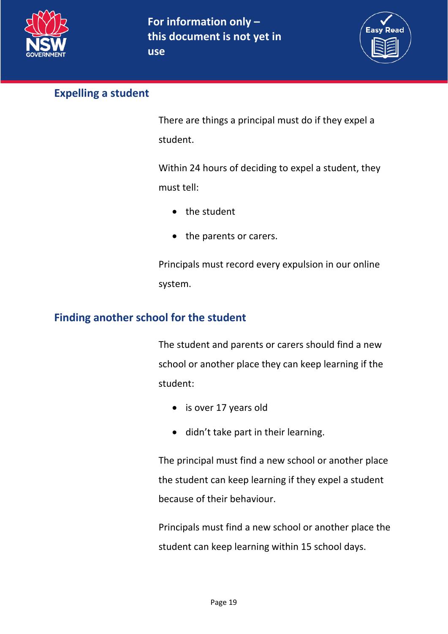



#### **Expelling a student**

There are things a principal must do if they expel a student.

Within 24 hours of deciding to expel a student, they must tell:

- the student
- the parents or carers.

Principals must record every expulsion in our online system.

## **Finding another school for the student**

The student and parents or carers should find a new school or another place they can keep learning if the student:

- is over 17 years old
- didn't take part in their learning.

The principal must find a new school or another place the student can keep learning if they expel a student because of their behaviour.

Principals must find a new school or another place the student can keep learning within 15 school days.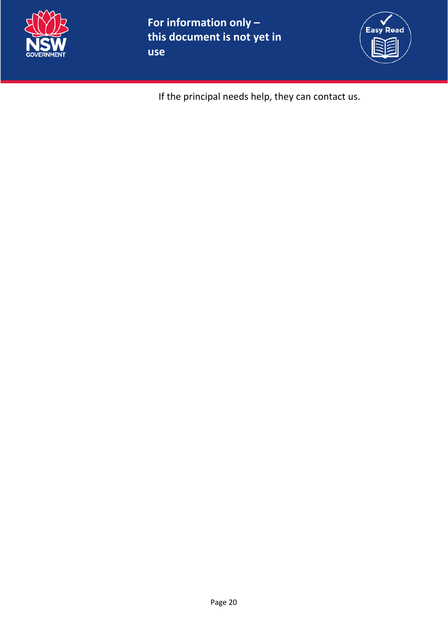

**For information only – this document is not yet in use**



If the principal needs help, they can contact us.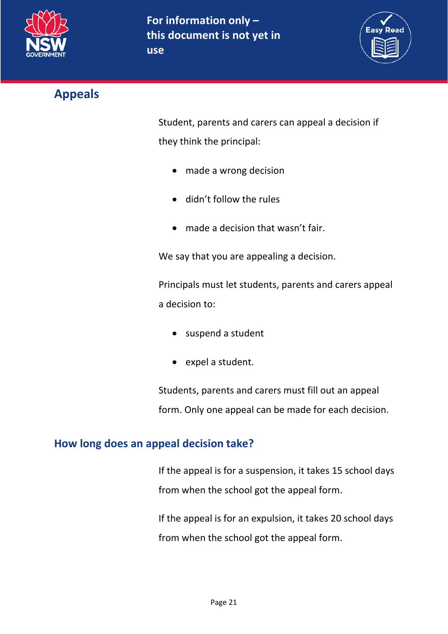



# <span id="page-20-0"></span>**Appeals**

Student, parents and carers can appeal a decision if they think the principal:

- made a wrong decision
- didn't follow the rules
- made a decision that wasn't fair.

We say that you are appealing a decision.

Principals must let students, parents and carers appeal a decision to:

- suspend a student
- expel a student.

Students, parents and carers must fill out an appeal form. Only one appeal can be made for each decision.

## **How long does an appeal decision take?**

If the appeal is for a suspension, it takes 15 school days from when the school got the appeal form.

If the appeal is for an expulsion, it takes 20 school days from when the school got the appeal form.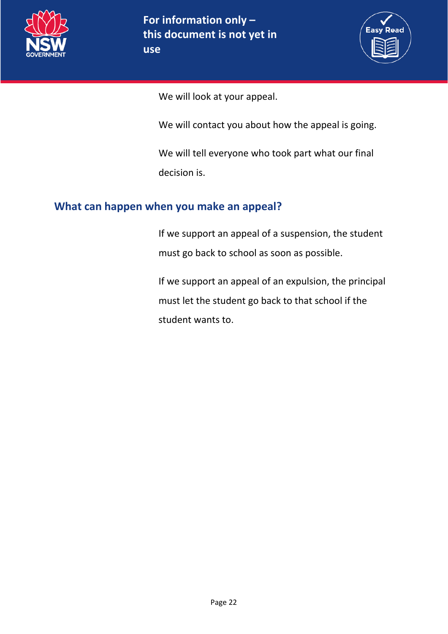



We will look at your appeal.

We will contact you about how the appeal is going.

We will tell everyone who took part what our final decision is.

## **What can happen when you make an appeal?**

If we support an appeal of a suspension, the student must go back to school as soon as possible.

If we support an appeal of an expulsion, the principal must let the student go back to that school if the student wants to.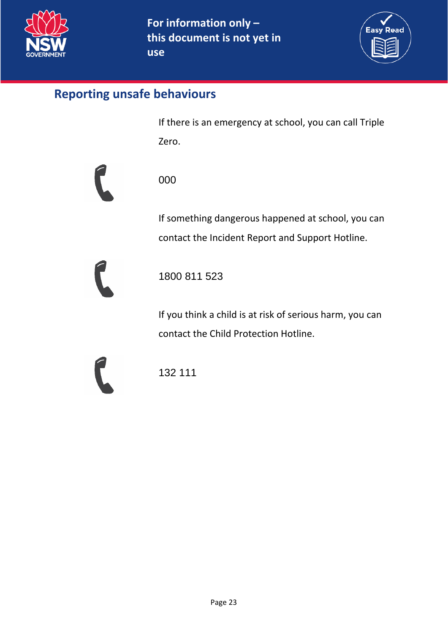

**use**



## <span id="page-22-0"></span>**Reporting unsafe behaviours**

If there is an emergency at school, you can call Triple Zero.



000

If something dangerous happened at school, you can contact the Incident Report and Support Hotline.



1800 811 523

If you think a child is at risk of serious harm, you can contact the Child Protection Hotline.

132 111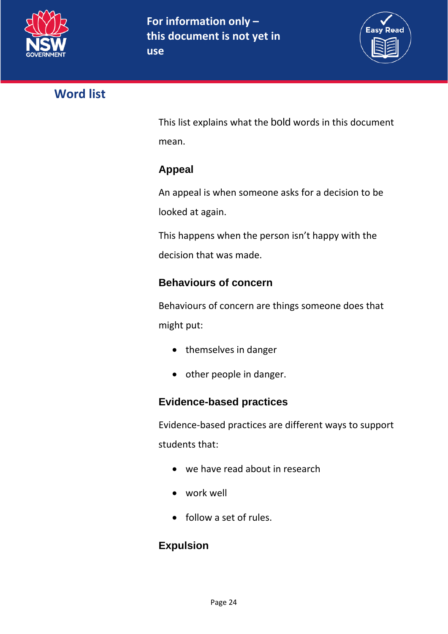

<span id="page-23-0"></span>

This list explains what the bold words in this document mean.

**Easy Read** 

## **Appeal**

An appeal is when someone asks for a decision to be looked at again.

This happens when the person isn't happy with the decision that was made.

## **Behaviours of concern**

Behaviours of concern are things someone does that might put:

- themselves in danger
- other people in danger.

## **Evidence-based practices**

Evidence-based practices are different ways to support students that:

- we have read about in research
- work well
- follow a set of rules.

## **Expulsion**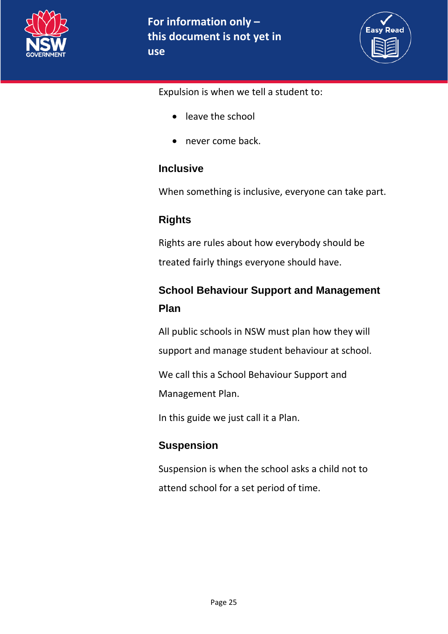



Expulsion is when we tell a student to:

- leave the school
- never come back.

#### **Inclusive**

When something is inclusive, everyone can take part.

## **Rights**

Rights are rules about how everybody should be treated fairly things everyone should have.

# **School Behaviour Support and Management Plan**

All public schools in NSW must plan how they will support and manage student behaviour at school.

We call this a School Behaviour Support and

Management Plan.

In this guide we just call it a Plan.

## **Suspension**

Suspension is when the school asks a child not to attend school for a set period of time.